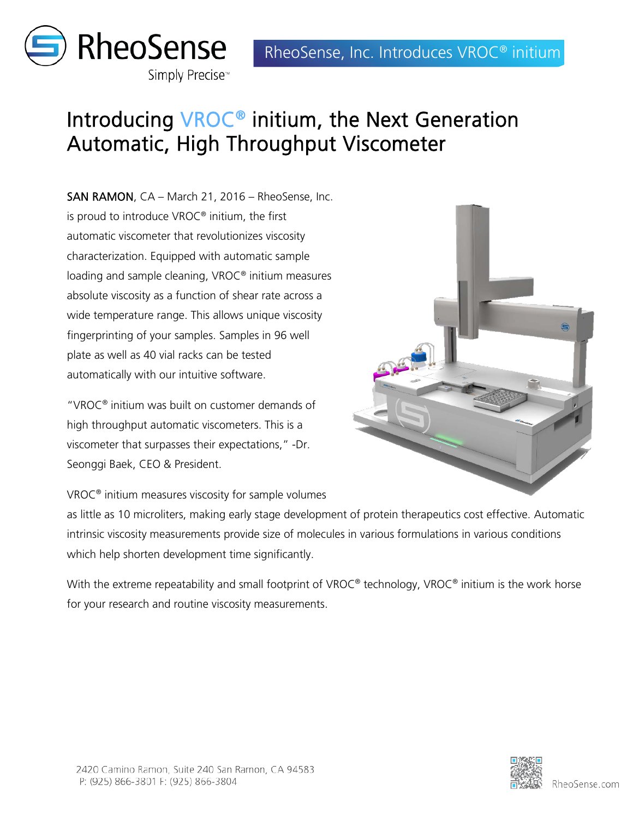

## Introducing VROC® initium, the Next Generation Automatic, High Throughput Viscometer

SAN RAMON, CA – March 21, 2016 – RheoSense, Inc. is proud to introduce VROC® initium, the first automatic viscometer that revolutionizes viscosity characterization. Equipped with automatic sample loading and sample cleaning, VROC® initium measures absolute viscosity as a function of shear rate across a wide temperature range. This allows unique viscosity fingerprinting of your samples. Samples in 96 well plate as well as 40 vial racks can be tested automatically with our intuitive software.

"VROC® initium was built on customer demands of high throughput automatic viscometers. This is a viscometer that surpasses their expectations," -Dr. Seonggi Baek, CEO & President.



as little as 10 microliters, making early stage development of protein therapeutics cost effective. Automatic intrinsic viscosity measurements provide size of molecules in various formulations in various conditions which help shorten development time significantly.

With the extreme repeatability and small footprint of VROC® technology, VROC® initium is the work horse for your research and routine viscosity measurements.